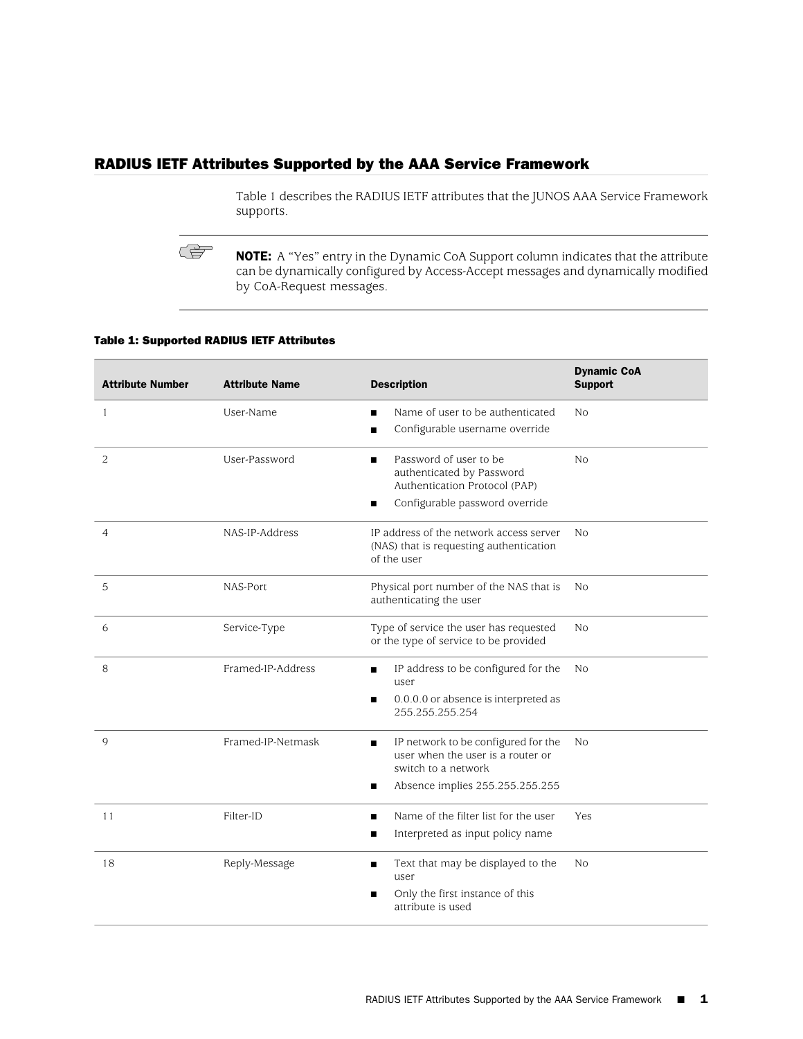# RADIUS IETF Attributes Supported by the AAA Service Framework

[Table 1](#page-0-0) describes the RADIUS IETF attributes that the JUNOS AAA Service Framework supports.

<span id="page-0-0"></span>NOTE: A "Yes" entry in the Dynamic CoA Support column indicates that the attribute can be dynamically configured by Access-Accept messages and dynamically modified by CoA-Request messages.

#### Table 1: Supported RADIUS IETF Attributes

**CA** 

| <b>Attribute Number</b> | <b>Attribute Name</b> | <b>Description</b>                                                                                   | <b>Dynamic CoA</b><br><b>Support</b> |
|-------------------------|-----------------------|------------------------------------------------------------------------------------------------------|--------------------------------------|
| 1                       | User-Name             | Name of user to be authenticated<br>п                                                                | N <sub>0</sub>                       |
|                         |                       | Configurable username override<br>п                                                                  |                                      |
| $\overline{c}$          | User-Password         | Password of user to be<br>authenticated by Password<br>Authentication Protocol (PAP)                 | N <sub>o</sub>                       |
|                         |                       | Configurable password override                                                                       |                                      |
| $\overline{4}$          | NAS-IP-Address        | IP address of the network access server<br>(NAS) that is requesting authentication<br>of the user    | No                                   |
| 5                       | NAS-Port              | Physical port number of the NAS that is<br>authenticating the user                                   | N <sub>0</sub>                       |
| 6                       | Service-Type          | Type of service the user has requested<br>or the type of service to be provided                      | N <sub>0</sub>                       |
| 8                       | Framed-IP-Address     | IP address to be configured for the<br>п<br>user                                                     | No                                   |
|                         |                       | 0.0.0.0 or absence is interpreted as<br>п<br>255.255.255.254                                         |                                      |
| 9                       | Framed-IP-Netmask     | IP network to be configured for the<br>п<br>user when the user is a router or<br>switch to a network | No                                   |
|                         |                       | Absence implies 255.255.255.255<br>п                                                                 |                                      |
| 11                      | Filter-ID             | Name of the filter list for the user                                                                 | Yes                                  |
|                         |                       | Interpreted as input policy name                                                                     |                                      |
| 18                      | Reply-Message         | Text that may be displayed to the<br>п<br>user                                                       | N <sub>0</sub>                       |
|                         |                       | Only the first instance of this<br>п<br>attribute is used                                            |                                      |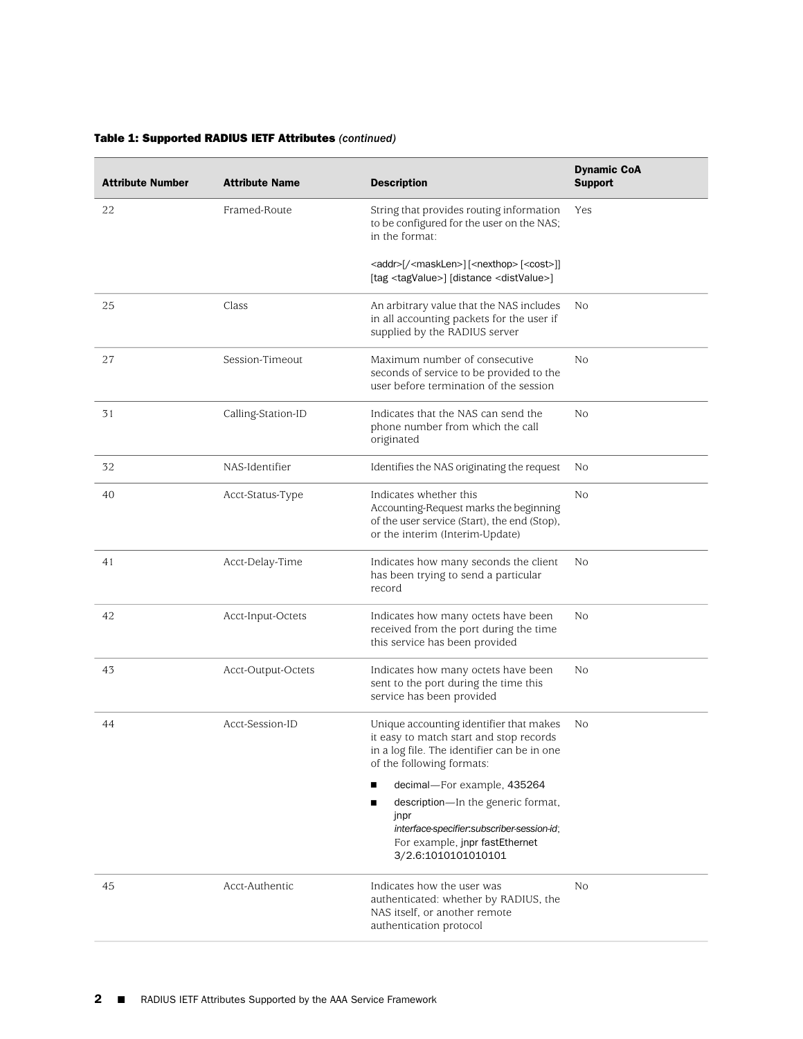| <b>Attribute Number</b> | <b>Attribute Name</b> | <b>Description</b>                                                                                                                                                                                                                                                                                                                                           | <b>Dynamic CoA</b><br><b>Support</b> |
|-------------------------|-----------------------|--------------------------------------------------------------------------------------------------------------------------------------------------------------------------------------------------------------------------------------------------------------------------------------------------------------------------------------------------------------|--------------------------------------|
| 22                      | Framed-Route          | String that provides routing information<br>to be configured for the user on the NAS;<br>in the format:                                                                                                                                                                                                                                                      | Yes                                  |
|                         |                       | <addr>[/<masklen>][<nexthop>[<cost>]]<br/>[tag <tagvalue>] [distance <distvalue>]</distvalue></tagvalue></cost></nexthop></masklen></addr>                                                                                                                                                                                                                   |                                      |
| 25                      | Class                 | An arbitrary value that the NAS includes<br>in all accounting packets for the user if<br>supplied by the RADIUS server                                                                                                                                                                                                                                       | No                                   |
| 27                      | Session-Timeout       | Maximum number of consecutive<br>seconds of service to be provided to the<br>user before termination of the session                                                                                                                                                                                                                                          | N <sub>o</sub>                       |
| 31                      | Calling-Station-ID    | Indicates that the NAS can send the<br>phone number from which the call<br>originated                                                                                                                                                                                                                                                                        | No                                   |
| 32                      | NAS-Identifier        | Identifies the NAS originating the request                                                                                                                                                                                                                                                                                                                   | No                                   |
| 40                      | Acct-Status-Type      | Indicates whether this<br>Accounting-Request marks the beginning<br>of the user service (Start), the end (Stop),<br>or the interim (Interim-Update)                                                                                                                                                                                                          | No                                   |
| 41                      | Acct-Delay-Time       | Indicates how many seconds the client<br>has been trying to send a particular<br>record                                                                                                                                                                                                                                                                      | No                                   |
| 42                      | Acct-Input-Octets     | Indicates how many octets have been<br>received from the port during the time<br>this service has been provided                                                                                                                                                                                                                                              | No                                   |
| 43                      | Acct-Output-Octets    | Indicates how many octets have been<br>sent to the port during the time this<br>service has been provided                                                                                                                                                                                                                                                    | No                                   |
| 44                      | Acct-Session-ID       | Unique accounting identifier that makes<br>it easy to match start and stop records<br>in a log file. The identifier can be in one<br>of the following formats:<br>decimal-For example, 435264<br>П<br>description-In the generic format,<br>П<br>jnpr<br>interface-specifier:subscriber-session-id;<br>For example, jnpr fastEthernet<br>3/2.6:1010101010101 | No                                   |
| 45                      | Acct-Authentic        | Indicates how the user was<br>authenticated: whether by RADIUS, the<br>NAS itself, or another remote<br>authentication protocol                                                                                                                                                                                                                              | No                                   |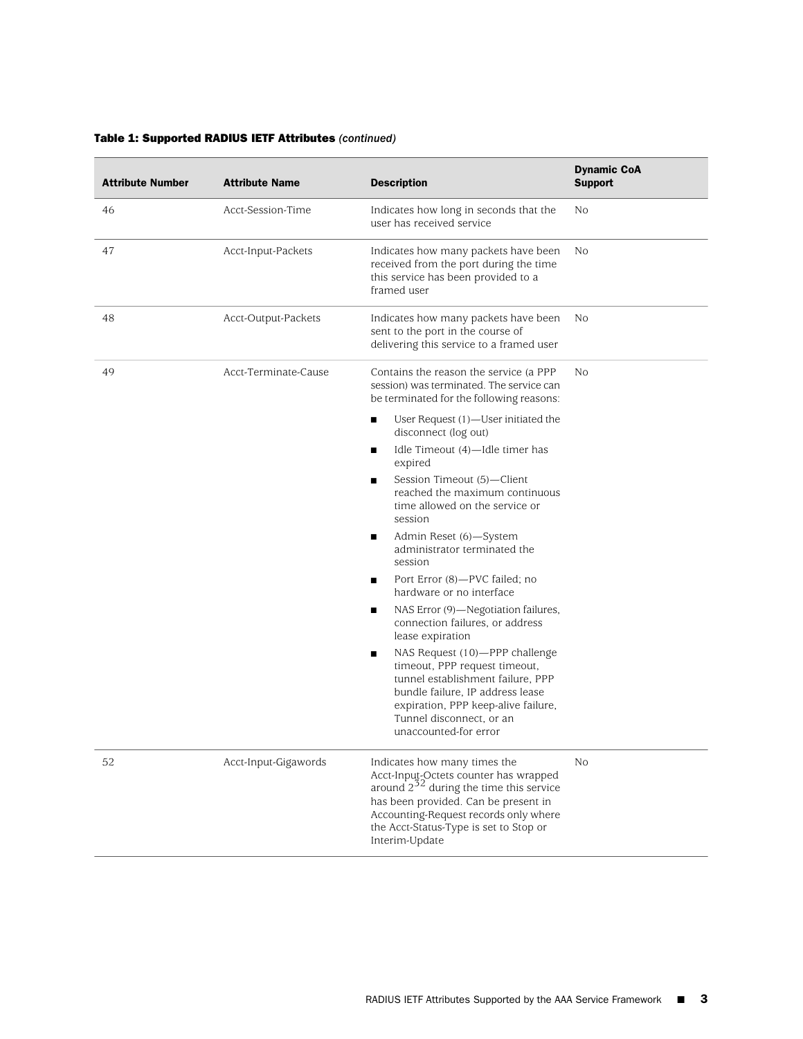| <b>Attribute Number</b> | <b>Attribute Name</b> | <b>Description</b>                                                                                                                                                                                                                                                 | <b>Dynamic CoA</b><br><b>Support</b> |
|-------------------------|-----------------------|--------------------------------------------------------------------------------------------------------------------------------------------------------------------------------------------------------------------------------------------------------------------|--------------------------------------|
| 46                      | Acct-Session-Time     | Indicates how long in seconds that the<br>user has received service                                                                                                                                                                                                | No                                   |
| 47                      | Acct-Input-Packets    | Indicates how many packets have been<br>received from the port during the time<br>this service has been provided to a<br>framed user                                                                                                                               | No                                   |
| 48                      | Acct-Output-Packets   | Indicates how many packets have been<br>sent to the port in the course of<br>delivering this service to a framed user                                                                                                                                              | No                                   |
| 49                      | Acct-Terminate-Cause  | Contains the reason the service (a PPP<br>session) was terminated. The service can<br>be terminated for the following reasons:                                                                                                                                     | No                                   |
|                         |                       | User Request (1)—User initiated the<br>п<br>disconnect (log out)                                                                                                                                                                                                   |                                      |
|                         |                       | Idle Timeout (4)-Idle timer has<br>п<br>expired                                                                                                                                                                                                                    |                                      |
|                         |                       | Session Timeout (5)-Client<br>п<br>reached the maximum continuous<br>time allowed on the service or<br>session                                                                                                                                                     |                                      |
|                         |                       | Admin Reset (6)-System<br>п<br>administrator terminated the<br>session                                                                                                                                                                                             |                                      |
|                         |                       | Port Error (8)-PVC failed; no<br>п<br>hardware or no interface                                                                                                                                                                                                     |                                      |
|                         |                       | NAS Error (9)-Negotiation failures,<br>п<br>connection failures, or address<br>lease expiration                                                                                                                                                                    |                                      |
|                         |                       | NAS Request (10)-PPP challenge<br>п<br>timeout, PPP request timeout,<br>tunnel establishment failure, PPP<br>bundle failure, IP address lease<br>expiration, PPP keep-alive failure,<br>Tunnel disconnect, or an<br>unaccounted-for error                          |                                      |
| 52                      | Acct-Input-Gigawords  | Indicates how many times the<br>Acct-Input-Octets counter has wrapped<br>around $2^{32}$ during the time this service<br>has been provided. Can be present in<br>Accounting-Request records only where<br>the Acct-Status-Type is set to Stop or<br>Interim-Update | No                                   |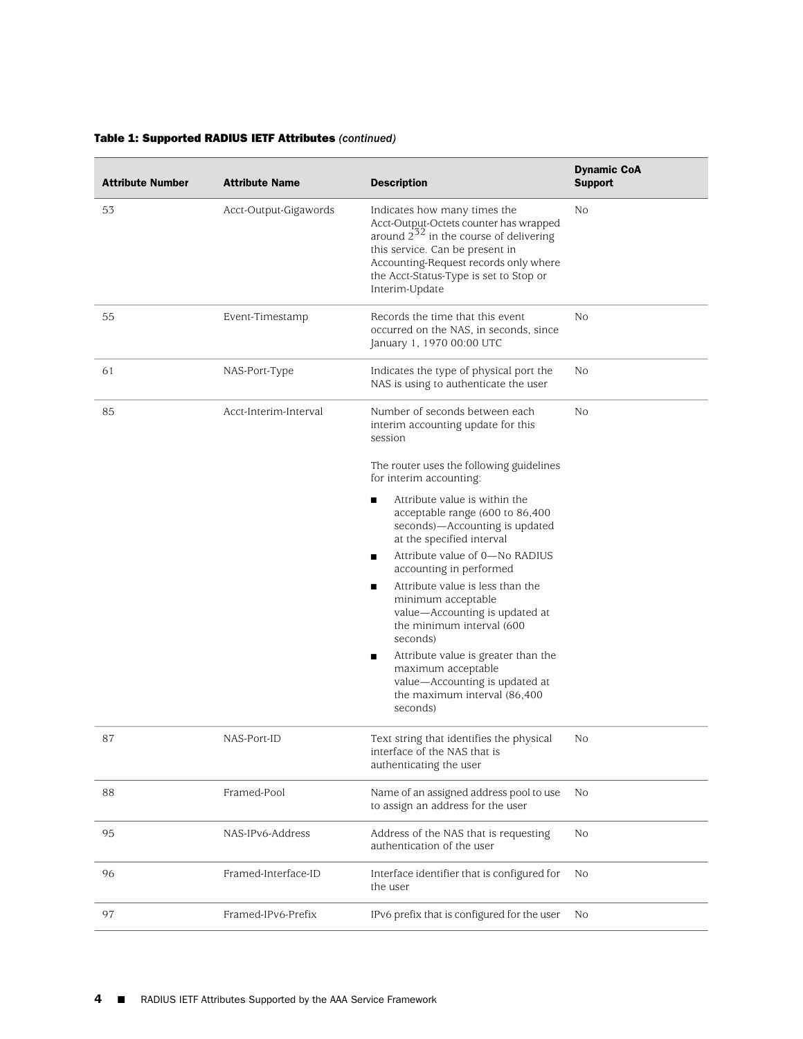| <b>Attribute Number</b> | <b>Attribute Name</b> | <b>Description</b>                                                                                                                                                                                                                                            | <b>Dynamic CoA</b><br><b>Support</b> |
|-------------------------|-----------------------|---------------------------------------------------------------------------------------------------------------------------------------------------------------------------------------------------------------------------------------------------------------|--------------------------------------|
| 53                      | Acct-Output-Gigawords | Indicates how many times the<br>Acct-Output-Octets counter has wrapped<br>around $2^{52}$ in the course of delivering<br>this service. Can be present in<br>Accounting-Request records only where<br>the Acct-Status-Type is set to Stop or<br>Interim-Update | No                                   |
| 55                      | Event-Timestamp       | Records the time that this event<br>occurred on the NAS, in seconds, since<br>January 1, 1970 00:00 UTC                                                                                                                                                       | No                                   |
| 61                      | NAS-Port-Type         | Indicates the type of physical port the<br>NAS is using to authenticate the user                                                                                                                                                                              | No                                   |
| 85                      | Acct-Interim-Interval | Number of seconds between each<br>interim accounting update for this<br>session                                                                                                                                                                               | No                                   |
|                         |                       | The router uses the following guidelines<br>for interim accounting:                                                                                                                                                                                           |                                      |
|                         |                       | Attribute value is within the<br>■<br>acceptable range (600 to 86,400<br>seconds)-Accounting is updated<br>at the specified interval                                                                                                                          |                                      |
|                         |                       | Attribute value of 0-No RADIUS<br>п<br>accounting in performed                                                                                                                                                                                                |                                      |
|                         |                       | Attribute value is less than the<br>■<br>minimum acceptable<br>value-Accounting is updated at<br>the minimum interval (600<br>seconds)                                                                                                                        |                                      |
|                         |                       | Attribute value is greater than the<br>п<br>maximum acceptable<br>value-Accounting is updated at<br>the maximum interval (86,400)<br>seconds)                                                                                                                 |                                      |
| 87                      | NAS-Port-ID           | Text string that identifies the physical<br>interface of the NAS that is<br>authenticating the user                                                                                                                                                           | No                                   |
| 88                      | Framed-Pool           | Name of an assigned address pool to use<br>to assign an address for the user                                                                                                                                                                                  | No                                   |
| 95                      | NAS-IPv6-Address      | Address of the NAS that is requesting<br>authentication of the user                                                                                                                                                                                           | No                                   |
| 96                      | Framed-Interface-ID   | Interface identifier that is configured for<br>the user                                                                                                                                                                                                       | No                                   |
| 97                      | Framed-IPv6-Prefix    | IPv6 prefix that is configured for the user                                                                                                                                                                                                                   | No                                   |